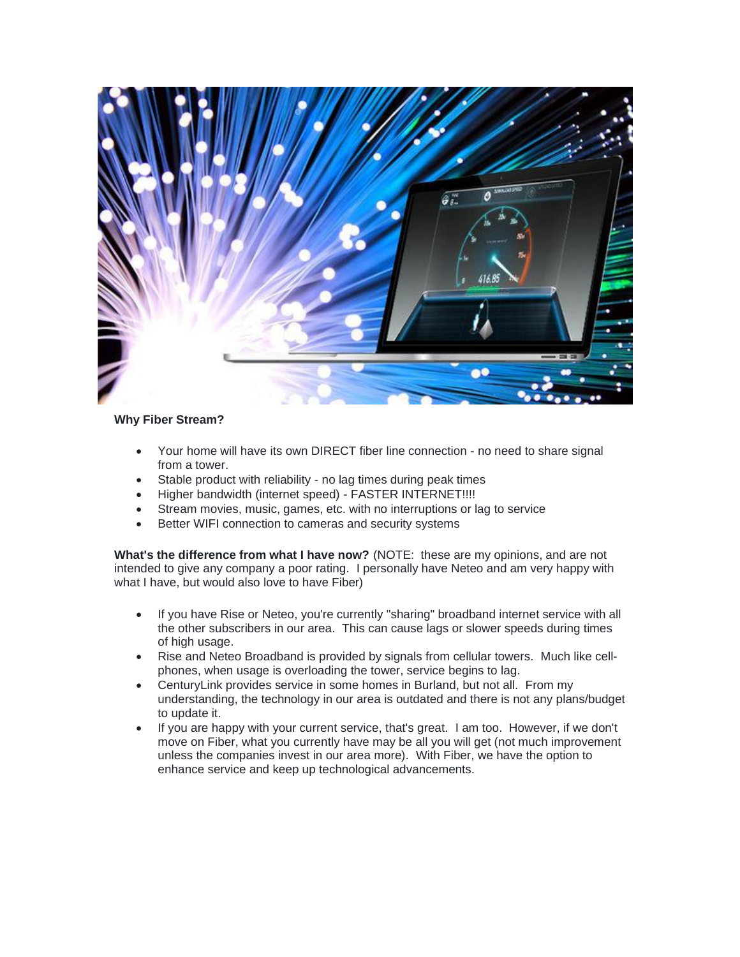

## **Why Fiber Stream?**

- Your home will have its own DIRECT fiber line connection no need to share signal from a tower.
- Stable product with reliability no lag times during peak times
- Higher bandwidth (internet speed) FASTER INTERNET!!!!
- Stream movies, music, games, etc. with no interruptions or lag to service
- Better WIFI connection to cameras and security systems

**What's the difference from what I have now?** (NOTE: these are my opinions, and are not intended to give any company a poor rating. I personally have Neteo and am very happy with what I have, but would also love to have Fiber)

- If you have Rise or Neteo, you're currently "sharing" broadband internet service with all the other subscribers in our area. This can cause lags or slower speeds during times of high usage.
- Rise and Neteo Broadband is provided by signals from cellular towers. Much like cellphones, when usage is overloading the tower, service begins to lag.
- CenturyLink provides service in some homes in Burland, but not all. From my understanding, the technology in our area is outdated and there is not any plans/budget to update it.
- If you are happy with your current service, that's great. I am too. However, if we don't move on Fiber, what you currently have may be all you will get (not much improvement unless the companies invest in our area more). With Fiber, we have the option to enhance service and keep up technological advancements.